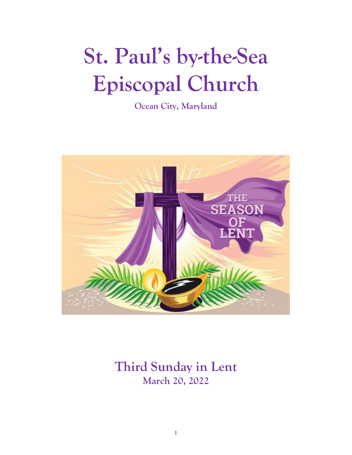# **St. Paul's by-the-Sea Episcopal Church**

**Ocean City, Maryland**



### **Third Sunday in Lent March 20, 2022**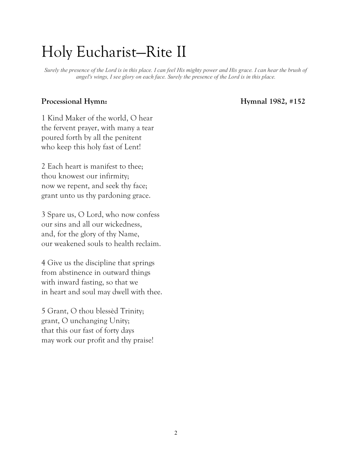## Holy Eucharist—Rite II

*Surely the presence of the Lord is in this place. I can feel His mighty power and His grace. I can hear the brush of angel's wings, I see glory on each face. Surely the presence of the Lord is in this place.*

### Processional Hymn: **Hymnal 1982, #152**

1 Kind Maker of the world, O hear the fervent prayer, with many a tear poured forth by all the penitent who keep this holy fast of Lent!

2 Each heart is manifest to thee; thou knowest our infirmity; now we repent, and seek thy face; grant unto us thy pardoning grace.

3 Spare us, O Lord, who now confess our sins and all our wickedness, and, for the glory of thy Name, our weakened souls to health reclaim.

4 Give us the discipline that springs from abstinence in outward things with inward fasting, so that we in heart and soul may dwell with thee.

5 Grant, O thou blessèd Trinity; grant, O unchanging Unity; that this our fast of forty days may work our profit and thy praise!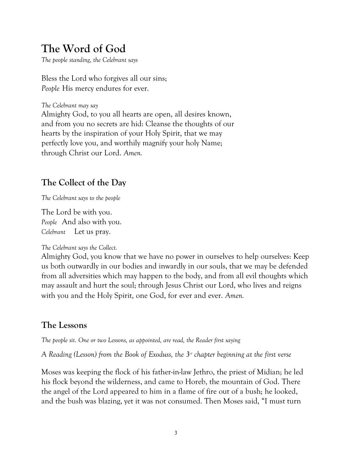### **The Word of God**

*The people standing, the Celebrant says*

Bless the Lord who forgives all our sins; *People* His mercy endures for ever.

*The Celebrant may say*

Almighty God, to you all hearts are open, all desires known, and from you no secrets are hid: Cleanse the thoughts of our hearts by the inspiration of your Holy Spirit, that we may perfectly love you, and worthily magnify your holy Name; through Christ our Lord. *Amen.*

### **The Collect of the Day**

*The Celebrant says to the people*

The Lord be with you. *People* And also with you. *Celebrant* Let us pray.

#### *The Celebrant says the Collect.*

Almighty God, you know that we have no power in ourselves to help ourselves: Keep us both outwardly in our bodies and inwardly in our souls, that we may be defended from all adversities which may happen to the body, and from all evil thoughts which may assault and hurt the soul; through Jesus Christ our Lord, who lives and reigns with you and the Holy Spirit, one God, for ever and ever. *Amen.*

### **The Lessons**

*The people sit. One or two Lessons, as appointed, are read, the Reader first saying*

 $A$  Reading (Lesson) from the Book of Exoduss, the 3<sup>rd</sup> chapter beginning at the first verse

Moses was keeping the flock of his father-in-law Jethro, the priest of Midian; he led his flock beyond the wilderness, and came to Horeb, the mountain of God. There the angel of the Lord appeared to him in a flame of fire out of a bush; he looked, and the bush was blazing, yet it was not consumed. Then Moses said, "I must turn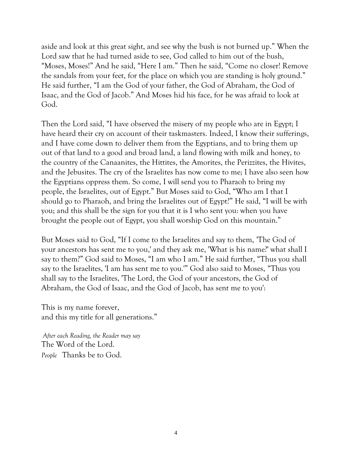aside and look at this great sight, and see why the bush is not burned up." When the Lord saw that he had turned aside to see, God called to him out of the bush, "Moses, Moses!" And he said, "Here I am." Then he said, "Come no closer! Remove the sandals from your feet, for the place on which you are standing is holy ground." He said further, "I am the God of your father, the God of Abraham, the God of Isaac, and the God of Jacob." And Moses hid his face, for he was afraid to look at God.

Then the Lord said, "I have observed the misery of my people who are in Egypt; I have heard their cry on account of their taskmasters. Indeed, I know their sufferings, and I have come down to deliver them from the Egyptians, and to bring them up out of that land to a good and broad land, a land flowing with milk and honey, to the country of the Canaanites, the Hittites, the Amorites, the Perizzites, the Hivites, and the Jebusites. The cry of the Israelites has now come to me; I have also seen how the Egyptians oppress them. So come, I will send you to Pharaoh to bring my people, the Israelites, out of Egypt." But Moses said to God, "Who am I that I should go to Pharaoh, and bring the Israelites out of Egypt?" He said, "I will be with you; and this shall be the sign for you that it is I who sent you: when you have brought the people out of Egypt, you shall worship God on this mountain."

But Moses said to God, "If I come to the Israelites and say to them, 'The God of your ancestors has sent me to you,' and they ask me, 'What is his name?' what shall I say to them?" God said to Moses, "I am who I am." He said further, "Thus you shall say to the Israelites, 'I am has sent me to you.'" God also said to Moses, "Thus you shall say to the Israelites, 'The Lord, the God of your ancestors, the God of Abraham, the God of Isaac, and the God of Jacob, has sent me to you':

This is my name forever, and this my title for all generations."

*After each Reading, the Reader may say* The Word of the Lord. *People* Thanks be to God.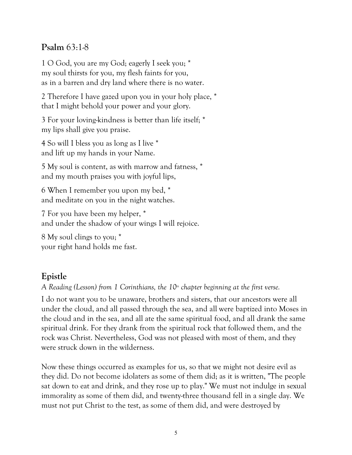### **Psalm** 63:1-8

1 O God, you are my God; eagerly I seek you; \* my soul thirsts for you, my flesh faints for you, as in a barren and dry land where there is no water.

2 Therefore I have gazed upon you in your holy place, \* that I might behold your power and your glory.

3 For your loving-kindness is better than life itself; \* my lips shall give you praise.

4 So will I bless you as long as I live \* and lift up my hands in your Name.

5 My soul is content, as with marrow and fatness, \* and my mouth praises you with joyful lips,

6 When I remember you upon my bed, \* and meditate on you in the night watches.

7 For you have been my helper, \* and under the shadow of your wings I will rejoice.

8 My soul clings to you; \* your right hand holds me fast.

### **Epistle**

*A Reading (Lesson) from 1 Corinthians, the 10th chapter beginning at the first verse.*

I do not want you to be unaware, brothers and sisters, that our ancestors were all under the cloud, and all passed through the sea, and all were baptized into Moses in the cloud and in the sea, and all ate the same spiritual food, and all drank the same spiritual drink. For they drank from the spiritual rock that followed them, and the rock was Christ. Nevertheless, God was not pleased with most of them, and they were struck down in the wilderness.

Now these things occurred as examples for us, so that we might not desire evil as they did. Do not become idolaters as some of them did; as it is written, "The people sat down to eat and drink, and they rose up to play." We must not indulge in sexual immorality as some of them did, and twenty-three thousand fell in a single day. We must not put Christ to the test, as some of them did, and were destroyed by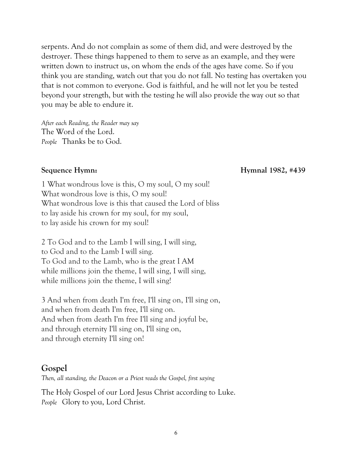serpents. And do not complain as some of them did, and were destroyed by the destroyer. These things happened to them to serve as an example, and they were written down to instruct us, on whom the ends of the ages have come. So if you think you are standing, watch out that you do not fall. No testing has overtaken you that is not common to everyone. God is faithful, and he will not let you be tested beyond your strength, but with the testing he will also provide the way out so that you may be able to endure it.

*After each Reading, the Reader may say* The Word of the Lord. *People* Thanks be to God.

**Sequence Hymn: Hymnal 1982, #439**

1 What wondrous love is this, O my soul, O my soul! What wondrous love is this, O my soul! What wondrous love is this that caused the Lord of bliss to lay aside his crown for my soul, for my soul, to lay aside his crown for my soul!

2 To God and to the Lamb I will sing, I will sing, to God and to the Lamb I will sing. To God and to the Lamb, who is the great I AM while millions join the theme, I will sing, I will sing, while millions join the theme, I will sing!

3 And when from death I'm free, I'll sing on, I'll sing on, and when from death I'm free, I'll sing on. And when from death I'm free I'll sing and joyful be, and through eternity I'll sing on, I'll sing on, and through eternity I'll sing on!

### **Gospel**

*Then, all standing, the Deacon or a Priest reads the Gospel, first saying*

The Holy Gospel of our Lord Jesus Christ according to Luke. *People* Glory to you, Lord Christ.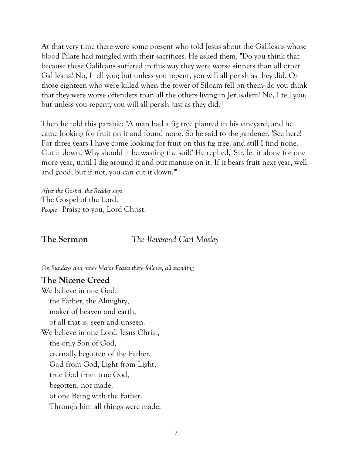At that very time there were some present who told Jesus about the Galileans whose blood Pilate had mingled with their sacrifices. He asked them, "Do you think that because these Galileans suffered in this way they were worse sinners than all other Galileans? No, I tell you; but unless you repent, you will all perish as they did. Or those eighteen who were killed when the tower of Siloam fell on them--do you think that they were worse offenders than all the others living in Jerusalem? No, I tell you; but unless you repent, you will all perish just as they did."

Then he told this parable: "A man had a fig tree planted in his vineyard; and he came looking for fruit on it and found none. So he said to the gardener, 'See here! For three years I have come looking for fruit on this fig tree, and still I find none. Cut it down! Why should it be wasting the soil?' He replied, 'Sir, let it alone for one more year, until I dig around it and put manure on it. If it bears fruit next year, well and good; but if not, you can cut it down.'"

*After the Gospel, the Reader says* The Gospel of the Lord. *People* Praise to you, Lord Christ.

**The Sermon** *The Reverend Carl Mosley*

*On Sundays and other Major Feasts there follows, all standing*

### **The Nicene Creed**

We believe in one God, the Father, the Almighty, maker of heaven and earth, of all that is, seen and unseen. We believe in one Lord, Jesus Christ, the only Son of God, eternally begotten of the Father, God from God, Light from Light, true God from true God, begotten, not made, of one Being with the Father. Through him all things were made.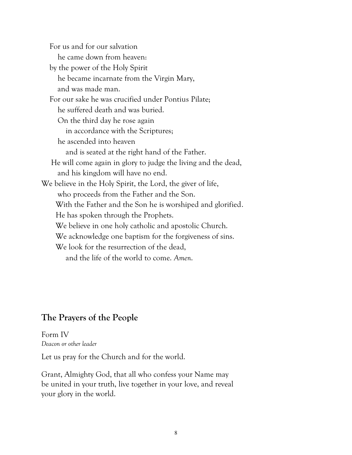For us and for our salvation he came down from heaven: by the power of the Holy Spirit he became incarnate from the Virgin Mary, and was made man. For our sake he was crucified under Pontius Pilate; he suffered death and was buried. On the third day he rose again in accordance with the Scriptures; he ascended into heaven and is seated at the right hand of the Father. He will come again in glory to judge the living and the dead, and his kingdom will have no end. We believe in the Holy Spirit, the Lord, the giver of life, who proceeds from the Father and the Son. With the Father and the Son he is worshiped and glorified. He has spoken through the Prophets. We believe in one holy catholic and apostolic Church. We acknowledge one baptism for the forgiveness of sins. We look for the resurrection of the dead, and the life of the world to come. *Amen*.

### **The Prayers of the People**

Form IV *Deacon or other leader* 

Let us pray for the Church and for the world.

Grant, Almighty God, that all who confess your Name may be united in your truth, live together in your love, and reveal your glory in the world.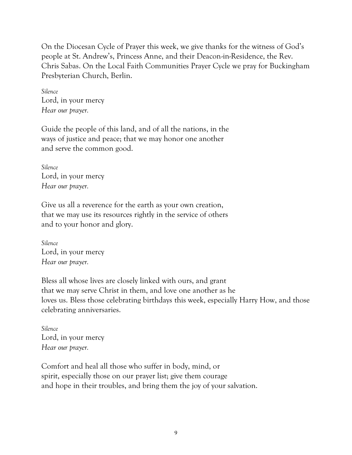On the Diocesan Cycle of Prayer this week, we give thanks for the witness of God's people at St. Andrew's, Princess Anne, and their Deacon-in-Residence, the Rev. Chris Sabas. On the Local Faith Communities Prayer Cycle we pray for Buckingham Presbyterian Church, Berlin.

*Silence* Lord, in your mercy *Hear our prayer.*

Guide the people of this land, and of all the nations, in the ways of justice and peace; that we may honor one another and serve the common good.

*Silence* Lord, in your mercy *Hear our prayer.*

Give us all a reverence for the earth as your own creation, that we may use its resources rightly in the service of others and to your honor and glory.

*Silence* Lord, in your mercy *Hear our prayer.*

Bless all whose lives are closely linked with ours, and grant that we may serve Christ in them, and love one another as he loves us. Bless those celebrating birthdays this week, especially Harry How, and those celebrating anniversaries.

*Silence* Lord, in your mercy *Hear our prayer.*

Comfort and heal all those who suffer in body, mind, or spirit, especially those on our prayer list; give them courage and hope in their troubles, and bring them the joy of your salvation.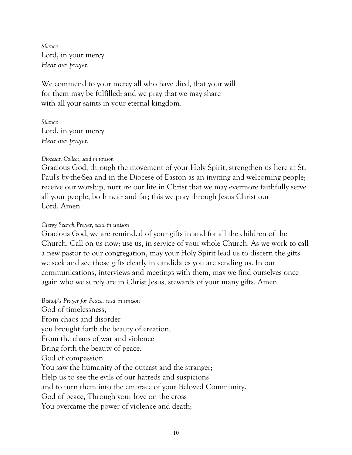*Silence* Lord, in your mercy *Hear our prayer.*

We commend to your mercy all who have died, that your will for them may be fulfilled; and we pray that we may share with all your saints in your eternal kingdom.

*Silence* Lord, in your mercy *Hear our prayer.*

#### *Diocesan Collect*, *said in unison*

Gracious God, through the movement of your Holy Spirit, strengthen us here at St. Paul's by-the-Sea and in the Diocese of Easton as an inviting and welcoming people; receive our worship, nurture our life in Christ that we may evermore faithfully serve all your people, both near and far; this we pray through Jesus Christ our Lord. Amen.

#### *Clergy Search Prayer, said in unison*

Gracious God, we are reminded of your gifts in and for all the children of the Church. Call on us now; use us, in service of your whole Church. As we work to call a new pastor to our congregation, may your Holy Spirit lead us to discern the gifts we seek and see those gifts clearly in candidates you are sending us. In our communications, interviews and meetings with them, may we find ourselves once again who we surely are in Christ Jesus, stewards of your many gifts. Amen.

*Bishop's Prayer for Peace, said in unison* God of timelessness, From chaos and disorder you brought forth the beauty of creation; From the chaos of war and violence Bring forth the beauty of peace. God of compassion You saw the humanity of the outcast and the stranger; Help us to see the evils of our hatreds and suspicions and to turn them into the embrace of your Beloved Community. God of peace, Through your love on the cross You overcame the power of violence and death;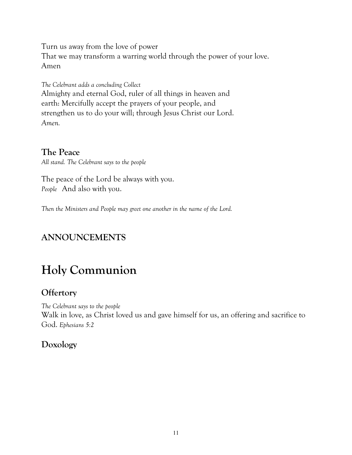Turn us away from the love of power That we may transform a warring world through the power of your love. Amen

*The Celebrant adds a concluding Collect* Almighty and eternal God, ruler of all things in heaven and earth: Mercifully accept the prayers of your people, and strengthen us to do your will; through Jesus Christ our Lord. *Amen.*

### **The Peace**

*All stand. The Celebrant says to the people*

The peace of the Lord be always with you. *People* And also with you.

*Then the Ministers and People may greet one another in the name of the Lord.*

### **ANNOUNCEMENTS**

## **Holy Communion**

### **Offertory**

*The Celebrant says to the people* Walk in love, as Christ loved us and gave himself for us, an offering and sacrifice to God. *Ephesians 5:2*

### **Doxology**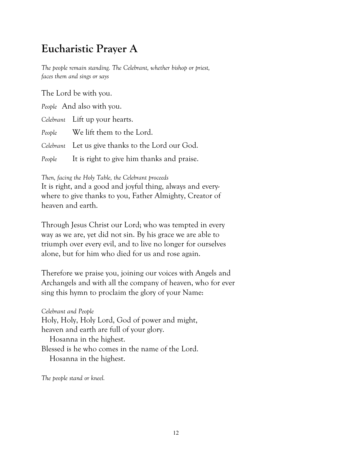### **Eucharistic Prayer A**

*The people remain standing. The Celebrant, whether bishop or priest, faces them and sings or says*

The Lord be with you.

*People* And also with you. *Celebrant* Lift up your hearts.

*People* We lift them to the Lord.

*Celebrant* Let us give thanks to the Lord our God.

*People* It is right to give him thanks and praise.

*Then, facing the Holy Table, the Celebrant proceeds*

It is right, and a good and joyful thing, always and everywhere to give thanks to you, Father Almighty, Creator of heaven and earth.

Through Jesus Christ our Lord; who was tempted in every way as we are, yet did not sin. By his grace we are able to triumph over every evil, and to live no longer for ourselves alone, but for him who died for us and rose again.

Therefore we praise you, joining our voices with Angels and Archangels and with all the company of heaven, who for ever sing this hymn to proclaim the glory of your Name:

*Celebrant and People* Holy, Holy, Holy Lord, God of power and might, heaven and earth are full of your glory. Hosanna in the highest. Blessed is he who comes in the name of the Lord. Hosanna in the highest.

*The people stand or kneel.*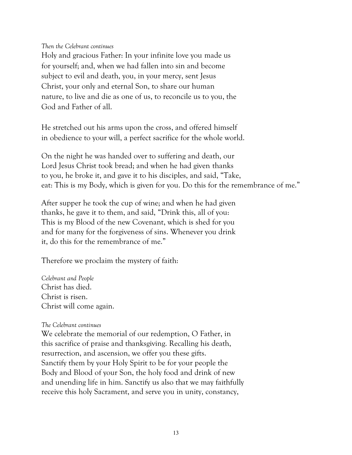*Then the Celebrant continues*

Holy and gracious Father: In your infinite love you made us for yourself; and, when we had fallen into sin and become subject to evil and death, you, in your mercy, sent Jesus Christ, your only and eternal Son, to share our human nature, to live and die as one of us, to reconcile us to you, the God and Father of all.

He stretched out his arms upon the cross, and offered himself in obedience to your will, a perfect sacrifice for the whole world.

On the night he was handed over to suffering and death, our Lord Jesus Christ took bread; and when he had given thanks to you, he broke it, and gave it to his disciples, and said, "Take, eat: This is my Body, which is given for you. Do this for the remembrance of me."

After supper he took the cup of wine; and when he had given thanks, he gave it to them, and said, "Drink this, all of you: This is my Blood of the new Covenant, which is shed for you and for many for the forgiveness of sins. Whenever you drink it, do this for the remembrance of me."

Therefore we proclaim the mystery of faith:

*Celebrant and People*  Christ has died. Christ is risen. Christ will come again.

#### *The Celebrant continues*

We celebrate the memorial of our redemption, O Father, in this sacrifice of praise and thanksgiving. Recalling his death, resurrection, and ascension, we offer you these gifts. Sanctify them by your Holy Spirit to be for your people the Body and Blood of your Son, the holy food and drink of new and unending life in him. Sanctify us also that we may faithfully receive this holy Sacrament, and serve you in unity, constancy,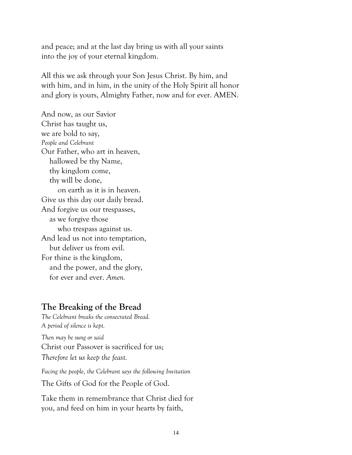and peace; and at the last day bring us with all your saints into the joy of your eternal kingdom.

All this we ask through your Son Jesus Christ. By him, and with him, and in him, in the unity of the Holy Spirit all honor and glory is yours, Almighty Father, now and for ever. AMEN.

And now, as our Savior Christ has taught us, we are bold to say, *People and Celebrant* Our Father, who art in heaven, hallowed be thy Name, thy kingdom come, thy will be done, on earth as it is in heaven. Give us this day our daily bread. And forgive us our trespasses, as we forgive those who trespass against us. And lead us not into temptation, but deliver us from evil. For thine is the kingdom, and the power, and the glory, for ever and ever. *Amen.*

### **The Breaking of the Bread**

*The Celebrant breaks the consecrated Bread. A period of silence is kept.*

*Then may be sung or said* Christ our Passover is sacrificed for us; *Therefore let us keep the feast.*

*Facing the people, the Celebrant says the following Invitation* The Gifts of God for the People of God.

Take them in remembrance that Christ died for you, and feed on him in your hearts by faith,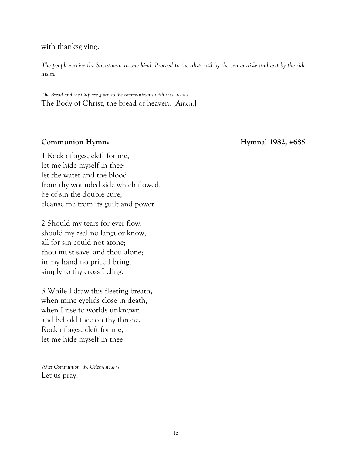with thanksgiving.

*The people receive the Sacrament in one kind. Proceed to the altar rail by the center aisle and exit by the side aisles.*

*The Bread and the Cup are given to the communicants with these words* The Body of Christ, the bread of heaven. [*Amen.*]

#### **Communion Hymn: Hymnal 1982, #685**

1 Rock of ages, cleft for me, let me hide myself in thee; let the water and the blood from thy wounded side which flowed, be of sin the double cure, cleanse me from its guilt and power.

2 Should my tears for ever flow, should my zeal no languor know, all for sin could not atone; thou must save, and thou alone; in my hand no price I bring, simply to thy cross I cling.

3 While I draw this fleeting breath, when mine eyelids close in death, when I rise to worlds unknown and behold thee on thy throne, Rock of ages, cleft for me, let me hide myself in thee.

*After Communion, the Celebrant says* Let us pray.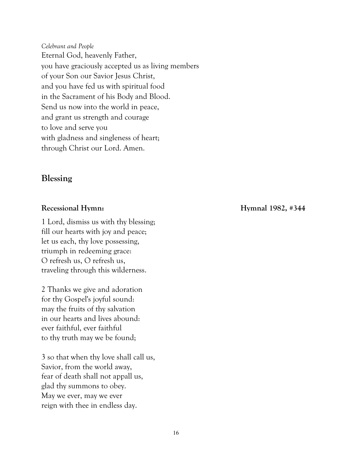*Celebrant and People* Eternal God, heavenly Father, you have graciously accepted us as living members of your Son our Savior Jesus Christ, and you have fed us with spiritual food in the Sacrament of his Body and Blood. Send us now into the world in peace, and grant us strength and courage to love and serve you with gladness and singleness of heart; through Christ our Lord. Amen.

### **Blessing**

1 Lord, dismiss us with thy blessing; fill our hearts with joy and peace; let us each, thy love possessing, triumph in redeeming grace: O refresh us, O refresh us, traveling through this wilderness.

2 Thanks we give and adoration for thy Gospel's joyful sound: may the fruits of thy salvation in our hearts and lives abound: ever faithful, ever faithful to thy truth may we be found;

3 so that when thy love shall call us, Savior, from the world away, fear of death shall not appall us, glad thy summons to obey. May we ever, may we ever reign with thee in endless day.

**Recessional Hymn: Hymnal 1982, #344**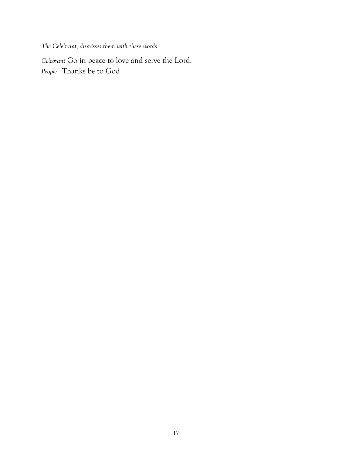*The Celebrant, dismisses them with these words*

*Celebrant* Go in peace to love and serve the Lord. *People* Thanks be to God.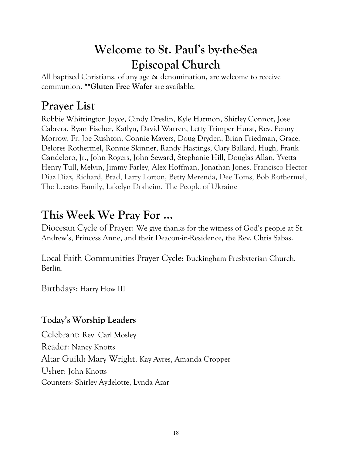## **Welcome to St. Paul's by-the-Sea Episcopal Church**

All baptized Christians, of any age & denomination, are welcome to receive communion. **\*\*Gluten Free Wafer** are available.

### **Prayer List**

Robbie Whittington Joyce, Cindy Dreslin, Kyle Harmon, Shirley Connor, Jose Cabrera, Ryan Fischer, Katlyn, David Warren, Letty Trimper Hurst, Rev. Penny Morrow, Fr. Joe Rushton, Connie Mayers, Doug Dryden, Brian Friedman, Grace, Delores Rothermel, Ronnie Skinner, Randy Hastings, Gary Ballard, Hugh, Frank Candeloro, Jr., John Rogers, John Seward, Stephanie Hill, Douglas Allan, Yvetta Henry Tull, Melvin, Jimmy Farley, Alex Hoffman, Jonathan Jones, Francisco Hector Diaz Diaz, Richard, Brad, Larry Lorton, Betty Merenda, Dee Toms, Bob Rothermel, The Lecates Family, Lakelyn Draheim, The People of Ukraine

### **This Week We Pray For ...**

Diocesan Cycle of Prayer: We give thanks for the witness of God's people at St. Andrew's, Princess Anne, and their Deacon-in-Residence, the Rev. Chris Sabas.

Local Faith Communities Prayer Cycle: Buckingham Presbyterian Church, Berlin.

Birthdays: Harry How III

### **Today's Worship Leaders**

Celebrant: Rev. Carl Mosley Reader: Nancy Knotts Altar Guild: Mary Wright, Kay Ayres, Amanda Cropper Usher: John Knotts Counters: Shirley Aydelotte, Lynda Azar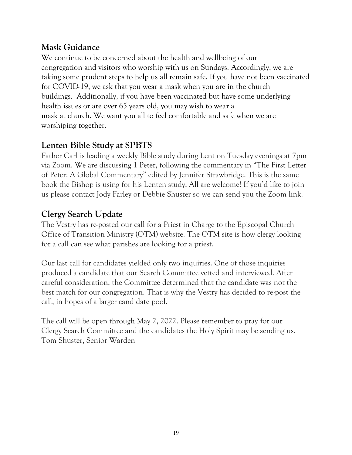### **Mask Guidance**

We continue to be concerned about the health and wellbeing of our congregation and visitors who worship with us on Sundays. Accordingly, we are taking some prudent steps to help us all remain safe. If you have not been vaccinated for COVID-19, we ask that you wear a mask when you are in the church buildings. Additionally, if you have been vaccinated but have some underlying health issues or are over 65 years old, you may wish to wear a mask at church. We want you all to feel comfortable and safe when we are worshiping together.

### **Lenten Bible Study at SPBTS**

Father Carl is leading a weekly Bible study during Lent on Tuesday evenings at 7pm via Zoom. We are discussing 1 Peter, following the commentary in "The First Letter of Peter: A Global Commentary" edited by Jennifer Strawbridge. This is the same book the Bishop is using for his Lenten study. All are welcome! If you'd like to join us please contact Jody Farley or Debbie Shuster so we can send you the Zoom link.

### **Clergy Search Update**

The Vestry has re-posted our call for a Priest in Charge to the Episcopal Church Office of Transition Ministry (OTM) website. The OTM site is how clergy looking for a call can see what parishes are looking for a priest.

Our last call for candidates yielded only two inquiries. One of those inquiries produced a candidate that our Search Committee vetted and interviewed. After careful consideration, the Committee determined that the candidate was not the best match for our congregation. That is why the Vestry has decided to re-post the call, in hopes of a larger candidate pool.

The call will be open through May 2, 2022. Please remember to pray for our Clergy Search Committee and the candidates the Holy Spirit may be sending us. Tom Shuster, Senior Warden